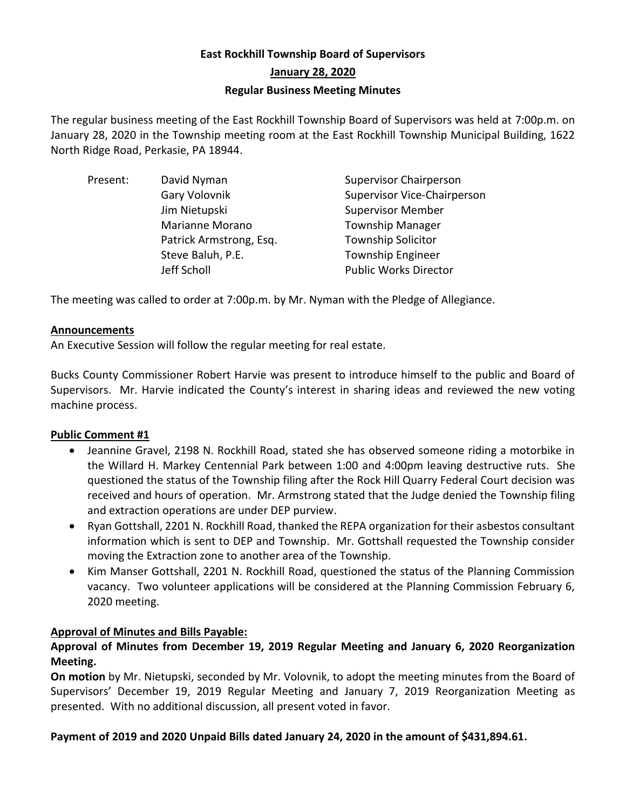# **East Rockhill Township Board of Supervisors January 28, 2020 Regular Business Meeting Minutes**

The regular business meeting of the East Rockhill Township Board of Supervisors was held at 7:00p.m. on January 28, 2020 in the Township meeting room at the East Rockhill Township Municipal Building, 1622 North Ridge Road, Perkasie, PA 18944.

| Present: | David Nyman             | <b>Supervisor Chairperson</b> |
|----------|-------------------------|-------------------------------|
|          | Gary Volovnik           | Supervisor Vice-Chairperson   |
|          | Jim Nietupski           | <b>Supervisor Member</b>      |
|          | Marianne Morano         | <b>Township Manager</b>       |
|          | Patrick Armstrong, Esq. | <b>Township Solicitor</b>     |
|          | Steve Baluh, P.E.       | <b>Township Engineer</b>      |
|          | Jeff Scholl             | <b>Public Works Director</b>  |

The meeting was called to order at 7:00p.m. by Mr. Nyman with the Pledge of Allegiance.

### **Announcements**

An Executive Session will follow the regular meeting for real estate.

Bucks County Commissioner Robert Harvie was present to introduce himself to the public and Board of Supervisors. Mr. Harvie indicated the County's interest in sharing ideas and reviewed the new voting machine process.

# **Public Comment #1**

- Jeannine Gravel, 2198 N. Rockhill Road, stated she has observed someone riding a motorbike in the Willard H. Markey Centennial Park between 1:00 and 4:00pm leaving destructive ruts. She questioned the status of the Township filing after the Rock Hill Quarry Federal Court decision was received and hours of operation. Mr. Armstrong stated that the Judge denied the Township filing and extraction operations are under DEP purview.
- Ryan Gottshall, 2201 N. Rockhill Road, thanked the REPA organization for their asbestos consultant information which is sent to DEP and Township. Mr. Gottshall requested the Township consider moving the Extraction zone to another area of the Township.
- Kim Manser Gottshall, 2201 N. Rockhill Road, questioned the status of the Planning Commission vacancy. Two volunteer applications will be considered at the Planning Commission February 6, 2020 meeting.

# **Approval of Minutes and Bills Payable:**

# **Approval of Minutes from December 19, 2019 Regular Meeting and January 6, 2020 Reorganization Meeting.**

**On motion** by Mr. Nietupski, seconded by Mr. Volovnik, to adopt the meeting minutes from the Board of Supervisors' December 19, 2019 Regular Meeting and January 7, 2019 Reorganization Meeting as presented. With no additional discussion, all present voted in favor.

# **Payment of 2019 and 2020 Unpaid Bills dated January 24, 2020 in the amount of \$431,894.61.**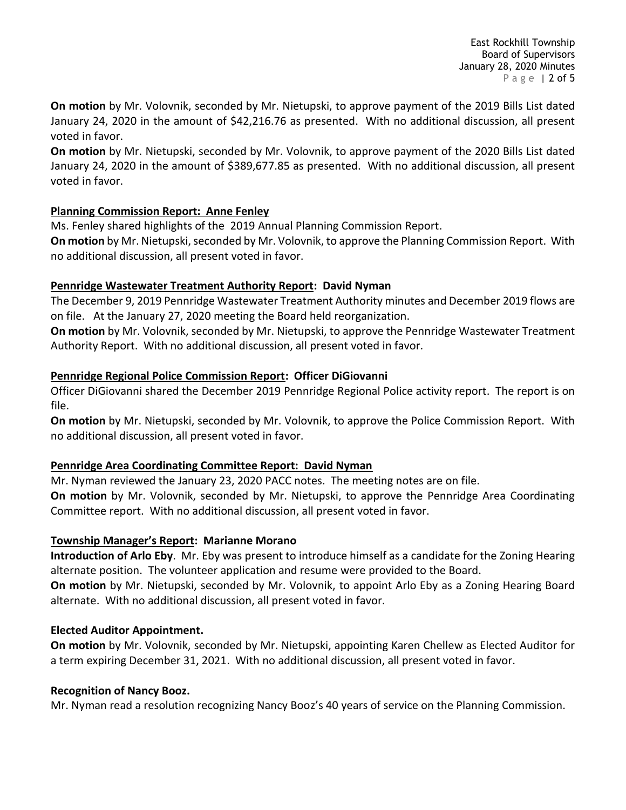East Rockhill Township Board of Supervisors January 28, 2020 Minutes P a g e | 2 of 5

**On motion** by Mr. Volovnik, seconded by Mr. Nietupski, to approve payment of the 2019 Bills List dated January 24, 2020 in the amount of \$42,216.76 as presented. With no additional discussion, all present voted in favor.

**On motion** by Mr. Nietupski, seconded by Mr. Volovnik, to approve payment of the 2020 Bills List dated January 24, 2020 in the amount of \$389,677.85 as presented. With no additional discussion, all present voted in favor.

# **Planning Commission Report: Anne Fenley**

Ms. Fenley shared highlights of the 2019 Annual Planning Commission Report.

**On motion** by Mr. Nietupski, seconded by Mr. Volovnik, to approve the Planning Commission Report. With no additional discussion, all present voted in favor.

# **Pennridge Wastewater Treatment Authority Report: David Nyman**

The December 9, 2019 Pennridge Wastewater Treatment Authority minutes and December 2019 flows are on file. At the January 27, 2020 meeting the Board held reorganization.

**On motion** by Mr. Volovnik, seconded by Mr. Nietupski, to approve the Pennridge Wastewater Treatment Authority Report. With no additional discussion, all present voted in favor.

# **Pennridge Regional Police Commission Report: Officer DiGiovanni**

Officer DiGiovanni shared the December 2019 Pennridge Regional Police activity report. The report is on file.

**On motion** by Mr. Nietupski, seconded by Mr. Volovnik, to approve the Police Commission Report. With no additional discussion, all present voted in favor.

# **Pennridge Area Coordinating Committee Report: David Nyman**

Mr. Nyman reviewed the January 23, 2020 PACC notes. The meeting notes are on file. **On motion** by Mr. Volovnik, seconded by Mr. Nietupski, to approve the Pennridge Area Coordinating Committee report. With no additional discussion, all present voted in favor.

# **Township Manager's Report: Marianne Morano**

**Introduction of Arlo Eby**. Mr. Eby was present to introduce himself as a candidate for the Zoning Hearing alternate position. The volunteer application and resume were provided to the Board.

**On motion** by Mr. Nietupski, seconded by Mr. Volovnik, to appoint Arlo Eby as a Zoning Hearing Board alternate. With no additional discussion, all present voted in favor.

# **Elected Auditor Appointment.**

**On motion** by Mr. Volovnik, seconded by Mr. Nietupski, appointing Karen Chellew as Elected Auditor for a term expiring December 31, 2021. With no additional discussion, all present voted in favor.

# **Recognition of Nancy Booz.**

Mr. Nyman read a resolution recognizing Nancy Booz's 40 years of service on the Planning Commission.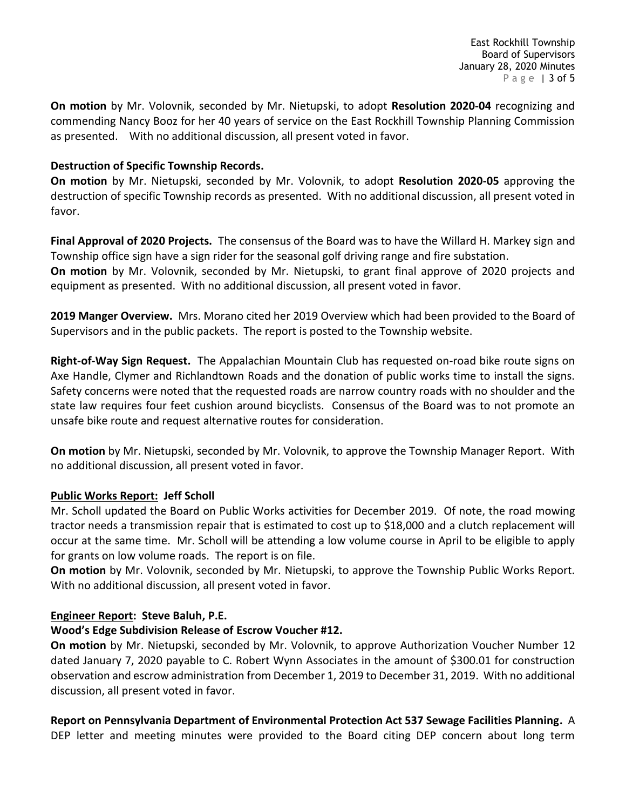East Rockhill Township Board of Supervisors January 28, 2020 Minutes P a g e | 3 of 5

**On motion** by Mr. Volovnik, seconded by Mr. Nietupski, to adopt **Resolution 2020-04** recognizing and commending Nancy Booz for her 40 years of service on the East Rockhill Township Planning Commission as presented. With no additional discussion, all present voted in favor.

#### **Destruction of Specific Township Records.**

**On motion** by Mr. Nietupski, seconded by Mr. Volovnik, to adopt **Resolution 2020-05** approving the destruction of specific Township records as presented. With no additional discussion, all present voted in favor.

**Final Approval of 2020 Projects.** The consensus of the Board was to have the Willard H. Markey sign and Township office sign have a sign rider for the seasonal golf driving range and fire substation.

**On motion** by Mr. Volovnik, seconded by Mr. Nietupski, to grant final approve of 2020 projects and equipment as presented. With no additional discussion, all present voted in favor.

**2019 Manger Overview.** Mrs. Morano cited her 2019 Overview which had been provided to the Board of Supervisors and in the public packets. The report is posted to the Township website.

**Right-of-Way Sign Request.** The Appalachian Mountain Club has requested on-road bike route signs on Axe Handle, Clymer and Richlandtown Roads and the donation of public works time to install the signs. Safety concerns were noted that the requested roads are narrow country roads with no shoulder and the state law requires four feet cushion around bicyclists. Consensus of the Board was to not promote an unsafe bike route and request alternative routes for consideration.

**On motion** by Mr. Nietupski, seconded by Mr. Volovnik, to approve the Township Manager Report. With no additional discussion, all present voted in favor.

#### **Public Works Report: Jeff Scholl**

Mr. Scholl updated the Board on Public Works activities for December 2019. Of note, the road mowing tractor needs a transmission repair that is estimated to cost up to \$18,000 and a clutch replacement will occur at the same time. Mr. Scholl will be attending a low volume course in April to be eligible to apply for grants on low volume roads. The report is on file.

**On motion** by Mr. Volovnik, seconded by Mr. Nietupski, to approve the Township Public Works Report. With no additional discussion, all present voted in favor.

#### **Engineer Report: Steve Baluh, P.E.**

# **Wood's Edge Subdivision Release of Escrow Voucher #12.**

**On motion** by Mr. Nietupski, seconded by Mr. Volovnik, to approve Authorization Voucher Number 12 dated January 7, 2020 payable to C. Robert Wynn Associates in the amount of \$300.01 for construction observation and escrow administration from December 1, 2019 to December 31, 2019. With no additional discussion, all present voted in favor.

# **Report on Pennsylvania Department of Environmental Protection Act 537 Sewage Facilities Planning.** A

DEP letter and meeting minutes were provided to the Board citing DEP concern about long term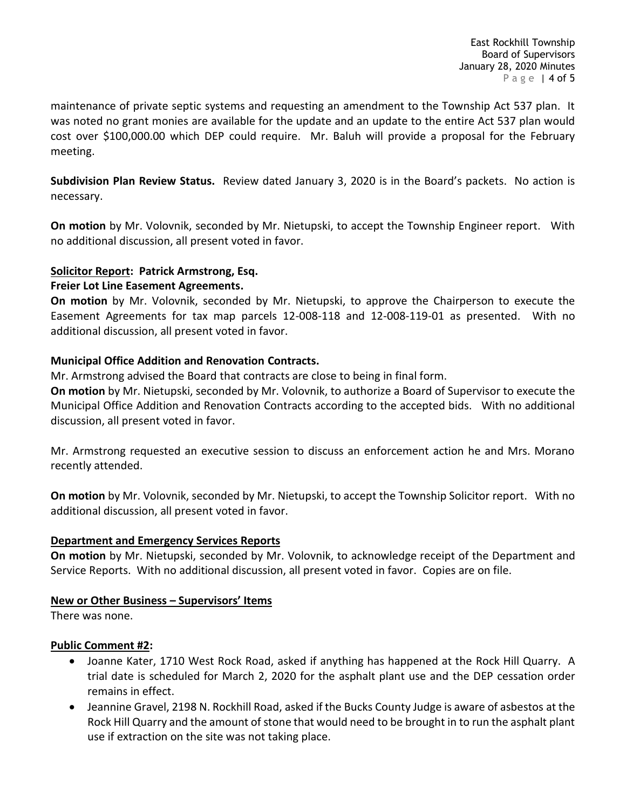maintenance of private septic systems and requesting an amendment to the Township Act 537 plan. It was noted no grant monies are available for the update and an update to the entire Act 537 plan would cost over \$100,000.00 which DEP could require. Mr. Baluh will provide a proposal for the February meeting.

**Subdivision Plan Review Status.** Review dated January 3, 2020 is in the Board's packets. No action is necessary.

**On motion** by Mr. Volovnik, seconded by Mr. Nietupski, to accept the Township Engineer report. With no additional discussion, all present voted in favor.

### **Solicitor Report: Patrick Armstrong, Esq.**

### **Freier Lot Line Easement Agreements.**

**On motion** by Mr. Volovnik, seconded by Mr. Nietupski, to approve the Chairperson to execute the Easement Agreements for tax map parcels 12-008-118 and 12-008-119-01 as presented. With no additional discussion, all present voted in favor.

### **Municipal Office Addition and Renovation Contracts.**

Mr. Armstrong advised the Board that contracts are close to being in final form.

**On motion** by Mr. Nietupski, seconded by Mr. Volovnik, to authorize a Board of Supervisor to execute the Municipal Office Addition and Renovation Contracts according to the accepted bids. With no additional discussion, all present voted in favor.

Mr. Armstrong requested an executive session to discuss an enforcement action he and Mrs. Morano recently attended.

**On motion** by Mr. Volovnik, seconded by Mr. Nietupski, to accept the Township Solicitor report. With no additional discussion, all present voted in favor.

#### **Department and Emergency Services Reports**

**On motion** by Mr. Nietupski, seconded by Mr. Volovnik, to acknowledge receipt of the Department and Service Reports. With no additional discussion, all present voted in favor. Copies are on file.

#### **New or Other Business – Supervisors' Items**

There was none.

# **Public Comment #2:**

- Joanne Kater, 1710 West Rock Road, asked if anything has happened at the Rock Hill Quarry. A trial date is scheduled for March 2, 2020 for the asphalt plant use and the DEP cessation order remains in effect.
- Jeannine Gravel, 2198 N. Rockhill Road, asked if the Bucks County Judge is aware of asbestos at the Rock Hill Quarry and the amount of stone that would need to be brought in to run the asphalt plant use if extraction on the site was not taking place.